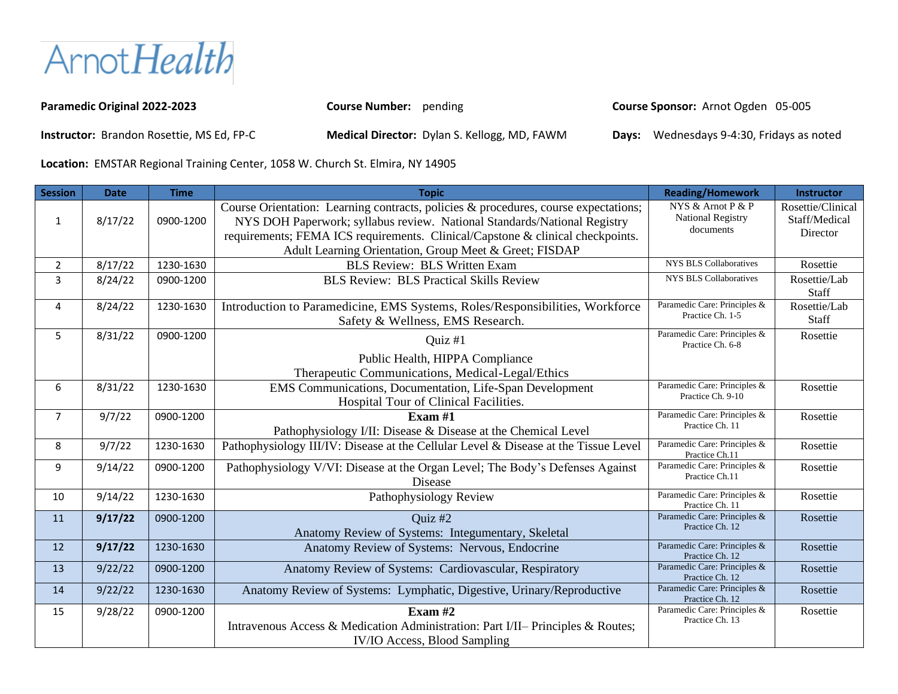ArnotHealth

| <b>Paramedic Original 2022-2023</b>              | <b>Course Number:</b> pending                       | Course Sponsor: Arnot Ogden 05-005        |
|--------------------------------------------------|-----------------------------------------------------|-------------------------------------------|
| <b>Instructor:</b> Brandon Rosettie, MS Ed, FP-C | <b>Medical Director:</b> Dylan S. Kellogg, MD, FAWM | Days: Wednesdays 9-4:30, Fridays as noted |

**Location:** EMSTAR Regional Training Center, 1058 W. Church St. Elmira, NY 14905

| <b>Session</b> | <b>Date</b> | <b>Time</b> | <b>Topic</b>                                                                                                                                                                                                                                                                                                | <b>Reading/Homework</b>                                    | Instructor                                     |
|----------------|-------------|-------------|-------------------------------------------------------------------------------------------------------------------------------------------------------------------------------------------------------------------------------------------------------------------------------------------------------------|------------------------------------------------------------|------------------------------------------------|
| $\mathbf{1}$   | 8/17/22     | 0900-1200   | Course Orientation: Learning contracts, policies & procedures, course expectations;<br>NYS DOH Paperwork; syllabus review. National Standards/National Registry<br>requirements; FEMA ICS requirements. Clinical/Capstone & clinical checkpoints.<br>Adult Learning Orientation, Group Meet & Greet; FISDAP | NYS & Arnot P & P<br><b>National Registry</b><br>documents | Rosettie/Clinical<br>Staff/Medical<br>Director |
| $\overline{2}$ | 8/17/22     | 1230-1630   | <b>BLS Review: BLS Written Exam</b>                                                                                                                                                                                                                                                                         | <b>NYS BLS Collaboratives</b>                              | Rosettie                                       |
| 3              | 8/24/22     | 0900-1200   | <b>BLS Review: BLS Practical Skills Review</b>                                                                                                                                                                                                                                                              | <b>NYS BLS Collaboratives</b>                              | Rosettie/Lab<br>Staff                          |
| 4              | 8/24/22     | 1230-1630   | Introduction to Paramedicine, EMS Systems, Roles/Responsibilities, Workforce<br>Safety & Wellness, EMS Research.                                                                                                                                                                                            | Paramedic Care: Principles &<br>Practice Ch. 1-5           | Rosettie/Lab<br>Staff                          |
| 5              | 8/31/22     | 0900-1200   | Quiz #1<br>Public Health, HIPPA Compliance<br>Therapeutic Communications, Medical-Legal/Ethics                                                                                                                                                                                                              | Paramedic Care: Principles &<br>Practice Ch. 6-8           | Rosettie                                       |
| 6              | 8/31/22     | 1230-1630   | EMS Communications, Documentation, Life-Span Development<br>Hospital Tour of Clinical Facilities.                                                                                                                                                                                                           | Paramedic Care: Principles &<br>Practice Ch. 9-10          | Rosettie                                       |
| $\overline{7}$ | 9/7/22      | 0900-1200   | Exam $#1$<br>Pathophysiology I/II: Disease & Disease at the Chemical Level                                                                                                                                                                                                                                  | Paramedic Care: Principles &<br>Practice Ch. 11            | Rosettie                                       |
| 8              | 9/7/22      | 1230-1630   | Pathophysiology III/IV: Disease at the Cellular Level & Disease at the Tissue Level                                                                                                                                                                                                                         | Paramedic Care: Principles &<br>Practice Ch.11             | Rosettie                                       |
| 9              | 9/14/22     | 0900-1200   | Pathophysiology V/VI: Disease at the Organ Level; The Body's Defenses Against<br>Disease                                                                                                                                                                                                                    | Paramedic Care: Principles &<br>Practice Ch.11             | Rosettie                                       |
| 10             | 9/14/22     | 1230-1630   | Pathophysiology Review                                                                                                                                                                                                                                                                                      | Paramedic Care: Principles &<br>Practice Ch. 11            | Rosettie                                       |
| 11             | 9/17/22     | 0900-1200   | Ouiz #2<br>Anatomy Review of Systems: Integumentary, Skeletal                                                                                                                                                                                                                                               | Paramedic Care: Principles &<br>Practice Ch. 12            | Rosettie                                       |
| 12             | 9/17/22     | 1230-1630   | Anatomy Review of Systems: Nervous, Endocrine                                                                                                                                                                                                                                                               | Paramedic Care: Principles &<br>Practice Ch. 12            | Rosettie                                       |
| 13             | 9/22/22     | 0900-1200   | Anatomy Review of Systems: Cardiovascular, Respiratory                                                                                                                                                                                                                                                      | Paramedic Care: Principles &<br>Practice Ch. 12            | Rosettie                                       |
| 14             | 9/22/22     | 1230-1630   | Anatomy Review of Systems: Lymphatic, Digestive, Urinary/Reproductive                                                                                                                                                                                                                                       | Paramedic Care: Principles &<br>Practice Ch. 12            | Rosettie                                       |
| 15             | 9/28/22     | 0900-1200   | Exam $#2$<br>Intravenous Access & Medication Administration: Part I/II– Principles & Routes;<br><b>IV/IO Access, Blood Sampling</b>                                                                                                                                                                         | Paramedic Care: Principles &<br>Practice Ch. 13            | Rosettie                                       |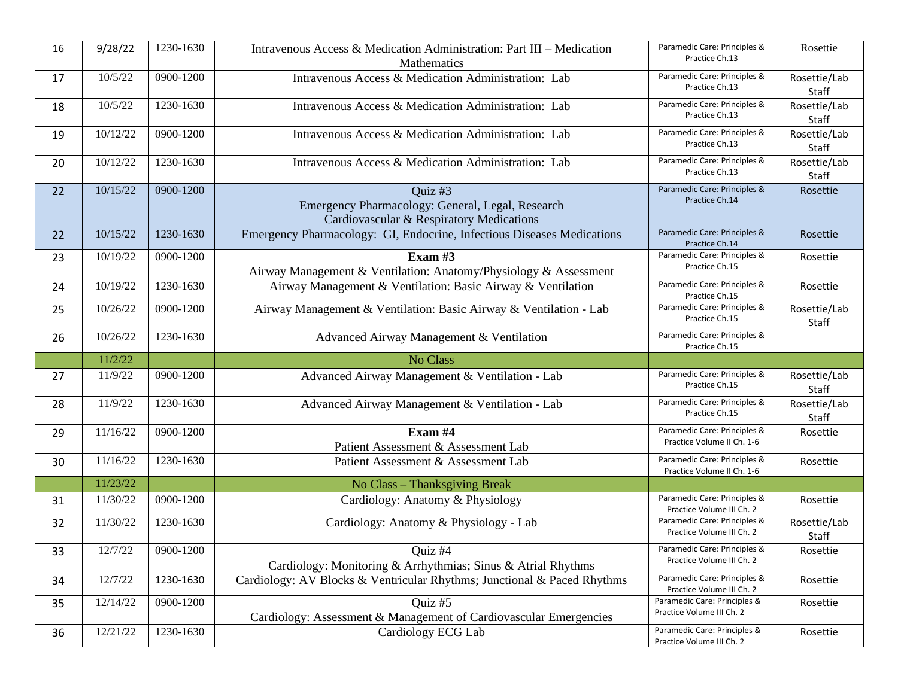| 16 | 9/28/22  | 1230-1630                | Intravenous Access & Medication Administration: Part III – Medication<br><b>Mathematics</b>             | Paramedic Care: Principles &<br>Practice Ch.13             | Rosettie              |
|----|----------|--------------------------|---------------------------------------------------------------------------------------------------------|------------------------------------------------------------|-----------------------|
| 17 | 10/5/22  | $\overline{0}900 - 1200$ | Intravenous Access & Medication Administration: Lab                                                     | Paramedic Care: Principles &<br>Practice Ch.13             | Rosettie/Lab<br>Staff |
| 18 | 10/5/22  | 1230-1630                | Intravenous Access & Medication Administration: Lab                                                     | Paramedic Care: Principles &<br>Practice Ch.13             | Rosettie/Lab<br>Staff |
| 19 | 10/12/22 | 0900-1200                | Intravenous Access & Medication Administration: Lab                                                     | Paramedic Care: Principles &<br>Practice Ch.13             | Rosettie/Lab<br>Staff |
| 20 | 10/12/22 | 1230-1630                | Intravenous Access & Medication Administration: Lab                                                     | Paramedic Care: Principles &<br>Practice Ch.13             | Rosettie/Lab<br>Staff |
| 22 | 10/15/22 | 0900-1200                | Quiz #3<br>Emergency Pharmacology: General, Legal, Research<br>Cardiovascular & Respiratory Medications | Paramedic Care: Principles &<br>Practice Ch.14             | Rosettie              |
| 22 | 10/15/22 | 1230-1630                | Emergency Pharmacology: GI, Endocrine, Infectious Diseases Medications                                  | Paramedic Care: Principles &<br>Practice Ch.14             | Rosettie              |
| 23 | 10/19/22 | 0900-1200                | Exam $#3$<br>Airway Management & Ventilation: Anatomy/Physiology & Assessment                           | Paramedic Care: Principles &<br>Practice Ch.15             | Rosettie              |
| 24 | 10/19/22 | 1230-1630                | Airway Management & Ventilation: Basic Airway & Ventilation                                             | Paramedic Care: Principles &<br>Practice Ch.15             | Rosettie              |
| 25 | 10/26/22 | 0900-1200                | Airway Management & Ventilation: Basic Airway & Ventilation - Lab                                       | Paramedic Care: Principles &<br>Practice Ch.15             | Rosettie/Lab<br>Staff |
| 26 | 10/26/22 | 1230-1630                | Advanced Airway Management & Ventilation                                                                | Paramedic Care: Principles &                               |                       |
|    |          |                          |                                                                                                         | Practice Ch.15                                             |                       |
|    | 11/2/22  |                          | No Class                                                                                                |                                                            |                       |
| 27 | 11/9/22  | 0900-1200                | Advanced Airway Management & Ventilation - Lab                                                          | Paramedic Care: Principles &<br>Practice Ch.15             | Rosettie/Lab<br>Staff |
| 28 | 11/9/22  | 1230-1630                | Advanced Airway Management & Ventilation - Lab                                                          | Paramedic Care: Principles &<br>Practice Ch.15             | Rosettie/Lab<br>Staff |
| 29 | 11/16/22 | 0900-1200                | Exam #4<br>Patient Assessment & Assessment Lab                                                          | Paramedic Care: Principles &<br>Practice Volume II Ch. 1-6 | Rosettie              |
| 30 | 11/16/22 | 1230-1630                | Patient Assessment & Assessment Lab                                                                     | Paramedic Care: Principles &<br>Practice Volume II Ch. 1-6 | Rosettie              |
|    | 11/23/22 |                          | No Class - Thanksgiving Break                                                                           |                                                            |                       |
| 31 | 11/30/22 | 0900-1200                | Cardiology: Anatomy & Physiology                                                                        | Paramedic Care: Principles &<br>Practice Volume III Ch. 2  | Rosettie              |
| 32 | 11/30/22 | 1230-1630                | Cardiology: Anatomy & Physiology - Lab                                                                  | Paramedic Care: Principles &<br>Practice Volume III Ch. 2  | Rosettie/Lab<br>Staff |
| 33 | 12/7/22  | 0900-1200                | Quiz #4<br>Cardiology: Monitoring & Arrhythmias; Sinus & Atrial Rhythms                                 | Paramedic Care: Principles &<br>Practice Volume III Ch. 2  | Rosettie              |
| 34 | 12/7/22  | 1230-1630                | Cardiology: AV Blocks & Ventricular Rhythms; Junctional & Paced Rhythms                                 | Paramedic Care: Principles &<br>Practice Volume III Ch. 2  | Rosettie              |
| 35 | 12/14/22 | 0900-1200                | Quiz #5<br>Cardiology: Assessment & Management of Cardiovascular Emergencies                            | Paramedic Care: Principles &<br>Practice Volume III Ch. 2  | Rosettie              |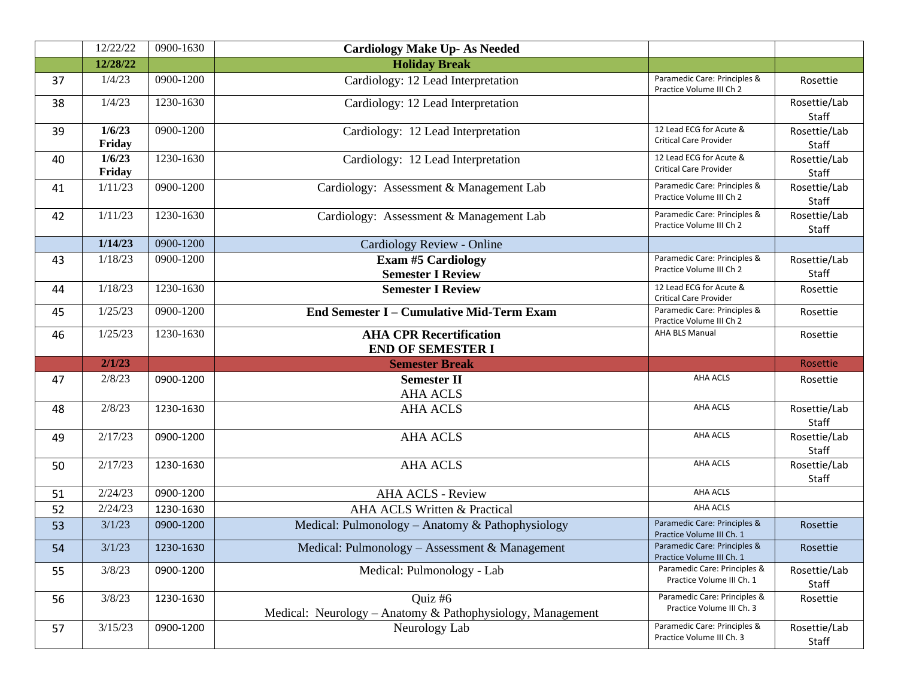|    | 12/22/22         | 0900-1630 | <b>Cardiology Make Up- As Needed</b>                                  |                                                           |                       |
|----|------------------|-----------|-----------------------------------------------------------------------|-----------------------------------------------------------|-----------------------|
|    | 12/28/22         |           | <b>Holiday Break</b>                                                  |                                                           |                       |
| 37 | 1/4/23           | 0900-1200 | Cardiology: 12 Lead Interpretation                                    | Paramedic Care: Principles &<br>Practice Volume III Ch 2  | Rosettie              |
| 38 | 1/4/23           | 1230-1630 | Cardiology: 12 Lead Interpretation                                    |                                                           | Rosettie/Lab<br>Staff |
| 39 | 1/6/23<br>Friday | 0900-1200 | Cardiology: 12 Lead Interpretation                                    | 12 Lead ECG for Acute &<br><b>Critical Care Provider</b>  | Rosettie/Lab<br>Staff |
| 40 | 1/6/23<br>Friday | 1230-1630 | Cardiology: 12 Lead Interpretation                                    | 12 Lead ECG for Acute &<br><b>Critical Care Provider</b>  | Rosettie/Lab<br>Staff |
| 41 | 1/11/23          | 0900-1200 | Cardiology: Assessment & Management Lab                               | Paramedic Care: Principles &<br>Practice Volume III Ch 2  | Rosettie/Lab<br>Staff |
| 42 | 1/11/23          | 1230-1630 | Cardiology: Assessment & Management Lab                               | Paramedic Care: Principles &<br>Practice Volume III Ch 2  | Rosettie/Lab<br>Staff |
|    | 1/14/23          | 0900-1200 | Cardiology Review - Online                                            |                                                           |                       |
| 43 | 1/18/23          | 0900-1200 | <b>Exam #5 Cardiology</b><br><b>Semester I Review</b>                 | Paramedic Care: Principles &<br>Practice Volume III Ch 2  | Rosettie/Lab<br>Staff |
| 44 | 1/18/23          | 1230-1630 | <b>Semester I Review</b>                                              | 12 Lead ECG for Acute &<br><b>Critical Care Provider</b>  | Rosettie              |
| 45 | 1/25/23          | 0900-1200 | <b>End Semester I - Cumulative Mid-Term Exam</b>                      | Paramedic Care: Principles &<br>Practice Volume III Ch 2  | Rosettie              |
| 46 | 1/25/23          | 1230-1630 | <b>AHA CPR Recertification</b><br><b>END OF SEMESTER I</b>            | <b>AHA BLS Manual</b>                                     | Rosettie              |
|    | 2/1/23           |           | <b>Semester Break</b>                                                 |                                                           | Rosettie              |
| 47 | 2/8/23           | 0900-1200 | <b>Semester II</b><br><b>AHA ACLS</b>                                 | <b>AHA ACLS</b>                                           | Rosettie              |
| 48 | 2/8/23           | 1230-1630 | <b>AHA ACLS</b>                                                       | <b>AHA ACLS</b>                                           | Rosettie/Lab<br>Staff |
| 49 | 2/17/23          | 0900-1200 | <b>AHA ACLS</b>                                                       | <b>AHA ACLS</b>                                           | Rosettie/Lab<br>Staff |
| 50 | 2/17/23          | 1230-1630 | <b>AHA ACLS</b>                                                       | AHA ACLS                                                  | Rosettie/Lab<br>Staff |
| 51 | 2/24/23          | 0900-1200 | <b>AHA ACLS - Review</b>                                              | AHA ACLS                                                  |                       |
| 52 | 2/24/23          | 1230-1630 | AHA ACLS Written & Practical                                          | <b>AHA ACLS</b>                                           |                       |
| 53 | 3/1/23           | 0900-1200 | Medical: Pulmonology - Anatomy & Pathophysiology                      | Paramedic Care: Principles &<br>Practice Volume III Ch. 1 | Rosettie              |
| 54 | 3/1/23           | 1230-1630 | Medical: Pulmonology - Assessment & Management                        | Paramedic Care: Principles &<br>Practice Volume III Ch. 1 | Rosettie              |
| 55 | 3/8/23           | 0900-1200 | Medical: Pulmonology - Lab                                            | Paramedic Care: Principles &<br>Practice Volume III Ch. 1 | Rosettie/Lab<br>Staff |
| 56 | 3/8/23           | 1230-1630 | Quiz #6<br>Medical: Neurology - Anatomy & Pathophysiology, Management | Paramedic Care: Principles &<br>Practice Volume III Ch. 3 | Rosettie              |
|    |                  |           |                                                                       |                                                           |                       |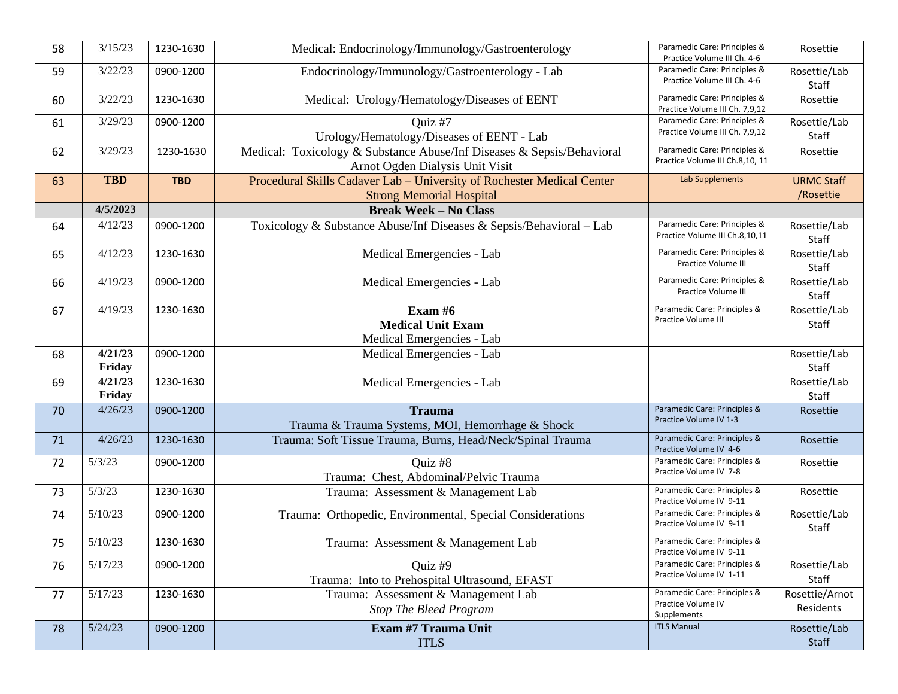| 58 | 3/15/23    | 1230-1630  | Medical: Endocrinology/Immunology/Gastroenterology                     | Paramedic Care: Principles &                                   | Rosettie              |
|----|------------|------------|------------------------------------------------------------------------|----------------------------------------------------------------|-----------------------|
|    |            |            |                                                                        | Practice Volume III Ch. 4-6                                    |                       |
| 59 | 3/22/23    | 0900-1200  | Endocrinology/Immunology/Gastroenterology - Lab                        | Paramedic Care: Principles &<br>Practice Volume III Ch. 4-6    | Rosettie/Lab          |
|    |            |            |                                                                        |                                                                | Staff                 |
| 60 | 3/22/23    | 1230-1630  | Medical: Urology/Hematology/Diseases of EENT                           | Paramedic Care: Principles &<br>Practice Volume III Ch. 7,9,12 | Rosettie              |
| 61 | 3/29/23    | 0900-1200  | Ouiz #7                                                                | Paramedic Care: Principles &                                   | Rosettie/Lab          |
|    |            |            | Urology/Hematology/Diseases of EENT - Lab                              | Practice Volume III Ch. 7,9,12                                 | Staff                 |
| 62 | 3/29/23    | 1230-1630  | Medical: Toxicology & Substance Abuse/Inf Diseases & Sepsis/Behavioral | Paramedic Care: Principles &                                   | Rosettie              |
|    |            |            | Arnot Ogden Dialysis Unit Visit                                        | Practice Volume III Ch.8,10, 11                                |                       |
| 63 | <b>TBD</b> | <b>TBD</b> | Procedural Skills Cadaver Lab - University of Rochester Medical Center | Lab Supplements                                                | <b>URMC Staff</b>     |
|    |            |            | <b>Strong Memorial Hospital</b>                                        |                                                                | /Rosettie             |
|    | 4/5/2023   |            | <b>Break Week - No Class</b>                                           |                                                                |                       |
|    |            |            |                                                                        |                                                                |                       |
| 64 | 4/12/23    | 0900-1200  | Toxicology & Substance Abuse/Inf Diseases & Sepsis/Behavioral - Lab    | Paramedic Care: Principles &<br>Practice Volume III Ch.8,10,11 | Rosettie/Lab<br>Staff |
| 65 | 4/12/23    | 1230-1630  | Medical Emergencies - Lab                                              | Paramedic Care: Principles &                                   | Rosettie/Lab          |
|    |            |            |                                                                        | Practice Volume III                                            | Staff                 |
| 66 | 4/19/23    | 0900-1200  | Medical Emergencies - Lab                                              | Paramedic Care: Principles &                                   | Rosettie/Lab          |
|    |            |            |                                                                        | Practice Volume III                                            | Staff                 |
|    | 4/19/23    |            |                                                                        | Paramedic Care: Principles &                                   |                       |
| 67 |            | 1230-1630  | Exam $#6$                                                              | Practice Volume III                                            | Rosettie/Lab          |
|    |            |            | <b>Medical Unit Exam</b>                                               |                                                                | Staff                 |
|    |            |            | Medical Emergencies - Lab                                              |                                                                |                       |
| 68 | 4/21/23    | 0900-1200  | Medical Emergencies - Lab                                              |                                                                | Rosettie/Lab          |
|    | Friday     |            |                                                                        |                                                                | Staff                 |
| 69 | 4/21/23    | 1230-1630  | Medical Emergencies - Lab                                              |                                                                | Rosettie/Lab          |
|    | Friday     |            |                                                                        |                                                                | Staff                 |
| 70 | 4/26/23    | 0900-1200  | <b>Trauma</b>                                                          | Paramedic Care: Principles &                                   | Rosettie              |
|    |            |            | Trauma & Trauma Systems, MOI, Hemorrhage & Shock                       | Practice Volume IV 1-3                                         |                       |
|    |            |            |                                                                        | Paramedic Care: Principles &                                   |                       |
| 71 | 4/26/23    | 1230-1630  | Trauma: Soft Tissue Trauma, Burns, Head/Neck/Spinal Trauma             | Practice Volume IV 4-6                                         | Rosettie              |
| 72 | 5/3/23     | 0900-1200  | Quiz #8                                                                | Paramedic Care: Principles &                                   | Rosettie              |
|    |            |            | Trauma: Chest, Abdominal/Pelvic Trauma                                 | Practice Volume IV 7-8                                         |                       |
| 73 | 5/3/23     | 1230-1630  | Trauma: Assessment & Management Lab                                    | Paramedic Care: Principles &                                   | Rosettie              |
|    |            |            |                                                                        | Practice Volume IV 9-11                                        |                       |
| 74 | 5/10/23    | 0900-1200  | Trauma: Orthopedic, Environmental, Special Considerations              | Paramedic Care: Principles &                                   | Rosettie/Lab          |
|    |            |            |                                                                        | Practice Volume IV 9-11                                        | Staff                 |
| 75 | 5/10/23    | 1230-1630  | Trauma: Assessment & Management Lab                                    | Paramedic Care: Principles &                                   |                       |
|    |            |            |                                                                        | Practice Volume IV 9-11                                        |                       |
| 76 | 5/17/23    | 0900-1200  | Quiz #9                                                                | Paramedic Care: Principles &                                   | Rosettie/Lab          |
|    |            |            | Trauma: Into to Prehospital Ultrasound, EFAST                          | Practice Volume IV 1-11                                        | Staff                 |
| 77 | 5/17/23    | 1230-1630  | Trauma: Assessment & Management Lab                                    | Paramedic Care: Principles &                                   | Rosettie/Arnot        |
|    |            |            |                                                                        | Practice Volume IV                                             | Residents             |
|    |            |            | <b>Stop The Bleed Program</b>                                          | Supplements                                                    |                       |
| 78 | 5/24/23    | 0900-1200  | Exam #7 Trauma Unit                                                    | <b>ITLS Manual</b>                                             | Rosettie/Lab          |
|    |            |            | <b>ITLS</b>                                                            |                                                                | Staff                 |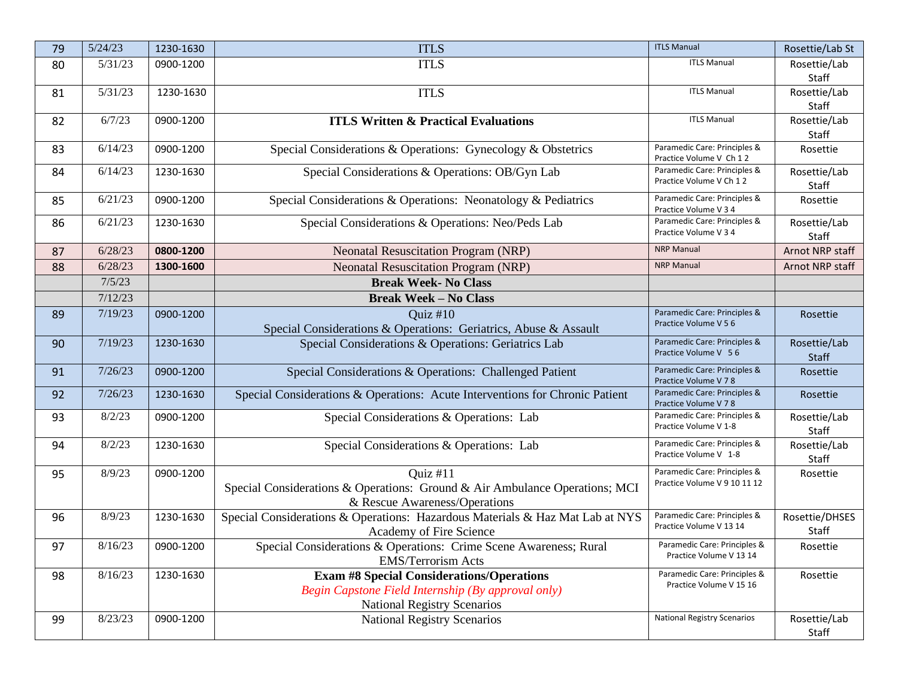| 79 | 5/24/23 | 1230-1630 | <b>ITLS</b>                                                                   | <b>ITLS Manual</b>                                    | Rosettie/Lab St       |
|----|---------|-----------|-------------------------------------------------------------------------------|-------------------------------------------------------|-----------------------|
| 80 | 5/31/23 | 0900-1200 | <b>ITLS</b>                                                                   | <b>ITLS Manual</b>                                    | Rosettie/Lab          |
|    |         |           |                                                                               |                                                       | Staff                 |
| 81 | 5/31/23 | 1230-1630 | <b>ITLS</b>                                                                   | <b>ITLS Manual</b>                                    | Rosettie/Lab          |
|    |         |           |                                                                               |                                                       | Staff                 |
| 82 | 6/7/23  | 0900-1200 | <b>ITLS Written &amp; Practical Evaluations</b>                               | <b>ITLS Manual</b>                                    | Rosettie/Lab          |
|    |         |           |                                                                               | Paramedic Care: Principles &                          | Staff                 |
| 83 | 6/14/23 | 0900-1200 | Special Considerations & Operations: Gynecology & Obstetrics                  | Practice Volume V Ch 12                               | Rosettie              |
| 84 | 6/14/23 | 1230-1630 | Special Considerations & Operations: OB/Gyn Lab                               | Paramedic Care: Principles &                          | Rosettie/Lab          |
|    |         |           |                                                                               | Practice Volume V Ch 12                               | Staff                 |
| 85 | 6/21/23 | 0900-1200 | Special Considerations & Operations: Neonatology & Pediatrics                 | Paramedic Care: Principles &<br>Practice Volume V 3 4 | Rosettie              |
| 86 | 6/21/23 | 1230-1630 | Special Considerations & Operations: Neo/Peds Lab                             | Paramedic Care: Principles &                          | Rosettie/Lab          |
|    |         |           |                                                                               | Practice Volume V 3 4                                 | Staff                 |
| 87 | 6/28/23 | 0800-1200 | <b>Neonatal Resuscitation Program (NRP)</b>                                   | <b>NRP Manual</b>                                     | Arnot NRP staff       |
| 88 | 6/28/23 | 1300-1600 | <b>Neonatal Resuscitation Program (NRP)</b>                                   | <b>NRP Manual</b>                                     | Arnot NRP staff       |
|    | 7/5/23  |           | <b>Break Week- No Class</b>                                                   |                                                       |                       |
|    | 7/12/23 |           | <b>Break Week - No Class</b>                                                  |                                                       |                       |
| 89 | 7/19/23 | 0900-1200 | Quiz $#10$                                                                    | Paramedic Care: Principles &                          | Rosettie              |
|    |         |           | Special Considerations & Operations: Geriatrics, Abuse & Assault              | Practice Volume V 5 6                                 |                       |
| 90 | 7/19/23 | 1230-1630 | Special Considerations & Operations: Geriatrics Lab                           | Paramedic Care: Principles &<br>Practice Volume V 56  | Rosettie/Lab<br>Staff |
| 91 | 7/26/23 | 0900-1200 | Special Considerations & Operations: Challenged Patient                       | Paramedic Care: Principles &                          | Rosettie              |
|    |         |           |                                                                               | Practice Volume V 78                                  |                       |
| 92 | 7/26/23 | 1230-1630 | Special Considerations & Operations: Acute Interventions for Chronic Patient  | Paramedic Care: Principles &<br>Practice Volume V 78  | Rosettie              |
| 93 | 8/2/23  | 0900-1200 | Special Considerations & Operations: Lab                                      | Paramedic Care: Principles &                          | Rosettie/Lab          |
|    |         |           |                                                                               | Practice Volume V 1-8                                 | Staff                 |
| 94 | 8/2/23  | 1230-1630 | Special Considerations & Operations: Lab                                      | Paramedic Care: Principles &                          | Rosettie/Lab          |
|    |         |           |                                                                               | Practice Volume V 1-8                                 | Staff                 |
| 95 | 8/9/23  | 0900-1200 | Quiz #11                                                                      | Paramedic Care: Principles &                          | Rosettie              |
|    |         |           | Special Considerations & Operations: Ground & Air Ambulance Operations; MCI   | Practice Volume V 9 10 11 12                          |                       |
|    |         |           | & Rescue Awareness/Operations                                                 |                                                       |                       |
| 96 | 8/9/23  | 1230-1630 | Special Considerations & Operations: Hazardous Materials & Haz Mat Lab at NYS | Paramedic Care: Principles &                          | Rosettie/DHSES        |
|    |         |           | Academy of Fire Science                                                       | Practice Volume V 13 14                               | Staff                 |
| 97 | 8/16/23 | 0900-1200 | Special Considerations & Operations: Crime Scene Awareness; Rural             | Paramedic Care: Principles &                          | Rosettie              |
|    |         |           | <b>EMS/Terrorism Acts</b>                                                     | Practice Volume V 13 14                               |                       |
| 98 | 8/16/23 | 1230-1630 | <b>Exam #8 Special Considerations/Operations</b>                              | Paramedic Care: Principles &                          | Rosettie              |
|    |         |           | Begin Capstone Field Internship (By approval only)                            | Practice Volume V 15 16                               |                       |
|    |         |           | <b>National Registry Scenarios</b>                                            |                                                       |                       |
| 99 | 8/23/23 | 0900-1200 | <b>National Registry Scenarios</b>                                            | <b>National Registry Scenarios</b>                    | Rosettie/Lab          |
|    |         |           |                                                                               |                                                       | Staff                 |